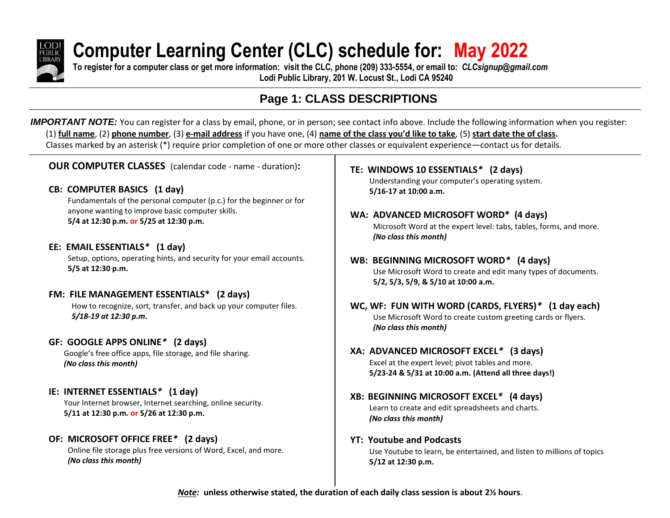

# **Computer Learning Center (CLC) schedule for: May 2022**

**To register for a computer class or get more information: visit the CLC, phone (209) 333-5554, or email to:** *CLCsignup@gmail.com* **Lodi Public Library, 201 W. Locust St., Lodi CA 95240**

## **Page 1: CLASS DESCRIPTIONS**

*IMPORTANT NOTE:* You can register for a class by email, phone, or in person; see contact info above. Include the following information when you register: (1) **full name**, (2) **phone number**, (3) **e-mail address** if you have one, (4) **name of the class you'd like to take**, (5) **start date the of class.** Classes marked by an asterisk (\*) require prior completion of one or more other classes or equivalent experience—contact us for details.

**OUR COMPUTER CLASSES** (calendar code - name - duration)**:**

#### **CB: COMPUTER BASICS (1 day)**

Fundamentals of the personal computer (p.c.) for the beginner or for anyone wanting to improve basic computer skills. **5/4 at 12:30 p.m. or 5/25 at 12:30 p.m.**

### **EE: EMAIL ESSENTIALS***\** **(1 day)**

Setup, options, operating hints, and security for your email accounts. **5/5 at 12:30 p.m.**

### **FM: FILE MANAGEMENT ESSENTIALS\* (2 days)**

How to recognize, sort, transfer, and back up your computer files. *5/18-19 at 12:30 p.m.*

#### **GF: GOOGLE APPS ONLINE***\** **(2 days)**

Google's free office apps, file storage, and file sharing. *(No class this month)*

### **IE: INTERNET ESSENTIALS***\** **(1 day)**

Your Internet browser, Internet searching, online security. **5/11 at 12:30 p.m. or 5/26 at 12:30 p.m.**

### **OF: MICROSOFT OFFICE FREE***\** **(2 days)**

Online file storage plus free versions of Word, Excel, and more. *(No class this month)*

**TE: WINDOWS 10 ESSENTIALS***\** **(2 days)**

Understanding your computer's operating system. **5/16-17 at 10:00 a.m.**

- **WA: ADVANCED MICROSOFT WORD\* (4 days)** Microsoft Word at the expert level: tabs, tables, forms, and more. *(No class this month)*
- **WB: BEGINNING MICROSOFT WORD***\** **(4 days)** Use Microsoft Word to create and edit many types of documents. **5/2, 5/3, 5/9, & 5/10 at 10:00 a.m.**
- **WC, WF: FUN WITH WORD (CARDS, FLYERS)***\** **(1 day each)** Use Microsoft Word to create custom greeting cards or flyers. *(No class this month)*
- **XA: ADVANCED MICROSOFT EXCEL***\** **(3 days)** Excel at the expert level; pivot tables and more. **5/23-24 & 5/31 at 10:00 a.m. (Attend all three days!)**
- **XB: BEGINNING MICROSOFT EXCEL***\** **(4 days)** Learn to create and edit spreadsheets and charts. *(No class this month)*
- **YT: Youtube and Podcasts** Use Youtube to learn, be entertained, and listen to millions of topics

**5/12 at 12:30 p.m.**